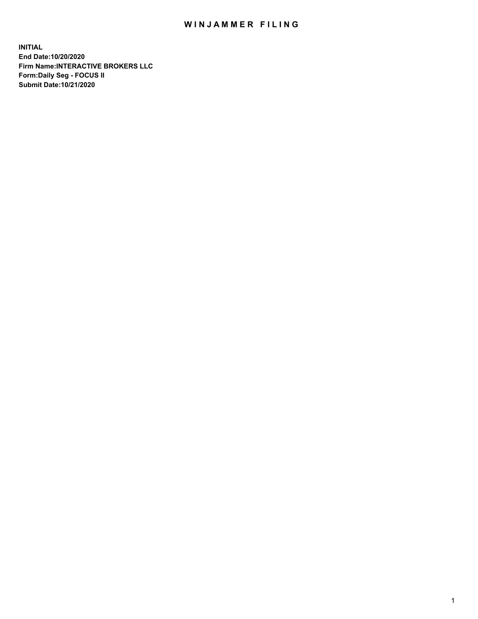## WIN JAMMER FILING

**INITIAL End Date:10/20/2020 Firm Name:INTERACTIVE BROKERS LLC Form:Daily Seg - FOCUS II Submit Date:10/21/2020**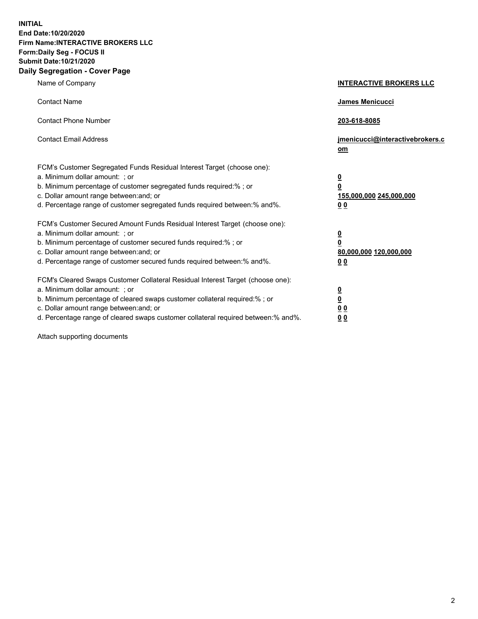**INITIAL End Date:10/20/2020 Firm Name:INTERACTIVE BROKERS LLC Form:Daily Seg - FOCUS II Submit Date:10/21/2020 Daily Segregation - Cover Page**

| Name of Company                                                                                                                                                                                                                                                                                                                | <b>INTERACTIVE BROKERS LLC</b>                                                  |  |
|--------------------------------------------------------------------------------------------------------------------------------------------------------------------------------------------------------------------------------------------------------------------------------------------------------------------------------|---------------------------------------------------------------------------------|--|
| <b>Contact Name</b>                                                                                                                                                                                                                                                                                                            | James Menicucci                                                                 |  |
| <b>Contact Phone Number</b>                                                                                                                                                                                                                                                                                                    | 203-618-8085                                                                    |  |
| <b>Contact Email Address</b>                                                                                                                                                                                                                                                                                                   | jmenicucci@interactivebrokers.c<br>om                                           |  |
| FCM's Customer Segregated Funds Residual Interest Target (choose one):<br>a. Minimum dollar amount: ; or<br>b. Minimum percentage of customer segregated funds required:%; or<br>c. Dollar amount range between: and; or<br>d. Percentage range of customer segregated funds required between:% and%.                          | <u>0</u><br>$\overline{\mathbf{0}}$<br>155,000,000 245,000,000<br><u>00</u>     |  |
| FCM's Customer Secured Amount Funds Residual Interest Target (choose one):<br>a. Minimum dollar amount: ; or<br>b. Minimum percentage of customer secured funds required:% ; or<br>c. Dollar amount range between: and; or<br>d. Percentage range of customer secured funds required between:% and%.                           | <u>0</u><br>$\overline{\mathbf{0}}$<br>80,000,000 120,000,000<br>0 <sub>0</sub> |  |
| FCM's Cleared Swaps Customer Collateral Residual Interest Target (choose one):<br>a. Minimum dollar amount: ; or<br>b. Minimum percentage of cleared swaps customer collateral required:% ; or<br>c. Dollar amount range between: and; or<br>d. Percentage range of cleared swaps customer collateral required between:% and%. | <u>0</u><br>$\underline{\mathbf{0}}$<br>0 <sub>0</sub><br>0 <sub>0</sub>        |  |

Attach supporting documents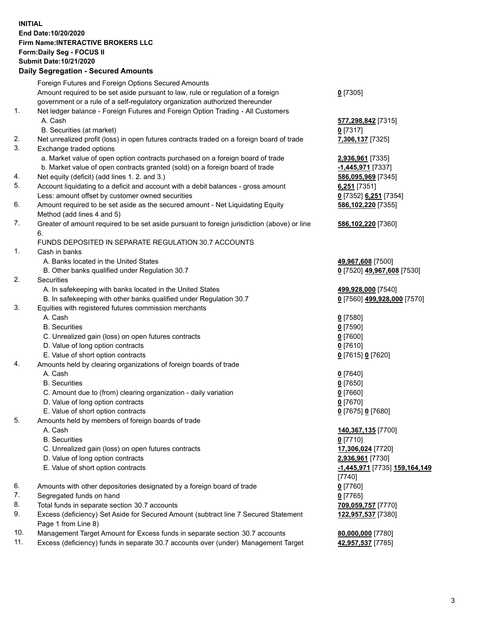**INITIAL End Date:10/20/2020 Firm Name:INTERACTIVE BROKERS LLC Form:Daily Seg - FOCUS II Submit Date:10/21/2020 Daily Segregation - Secured Amounts**

## Foreign Futures and Foreign Options Secured Amounts Amount required to be set aside pursuant to law, rule or regulation of a foreign government or a rule of a self-regulatory organization authorized thereunder **0** [7305] 1. Net ledger balance - Foreign Futures and Foreign Option Trading - All Customers A. Cash **577,298,842** [7315] B. Securities (at market) **0** [7317] 2. Net unrealized profit (loss) in open futures contracts traded on a foreign board of trade **7,306,137** [7325] 3. Exchange traded options a. Market value of open option contracts purchased on a foreign board of trade **2,936,961** [7335] b. Market value of open contracts granted (sold) on a foreign board of trade **-1,445,971** [7337] 4. Net equity (deficit) (add lines 1. 2. and 3.) **586,095,969** [7345] 5. Account liquidating to a deficit and account with a debit balances - gross amount **6,251** [7351] Less: amount offset by customer owned securities **0** [7352] **6,251** [7354] 6. Amount required to be set aside as the secured amount - Net Liquidating Equity Method (add lines 4 and 5) **586,102,220** [7355] 7. Greater of amount required to be set aside pursuant to foreign jurisdiction (above) or line 6. **586,102,220** [7360] FUNDS DEPOSITED IN SEPARATE REGULATION 30.7 ACCOUNTS 1. Cash in banks A. Banks located in the United States **49,967,608** [7500] B. Other banks qualified under Regulation 30.7 **0** [7520] **49,967,608** [7530] 2. Securities A. In safekeeping with banks located in the United States **499,928,000** [7540] B. In safekeeping with other banks qualified under Regulation 30.7 **0** [7560] **499,928,000** [7570] 3. Equities with registered futures commission merchants A. Cash **0** [7580] B. Securities **0** [7590] C. Unrealized gain (loss) on open futures contracts **0** [7600] D. Value of long option contracts **0** [7610] E. Value of short option contracts **0** [7615] **0** [7620] 4. Amounts held by clearing organizations of foreign boards of trade A. Cash **0** [7640] B. Securities **0** [7650] C. Amount due to (from) clearing organization - daily variation **0** [7660] D. Value of long option contracts **0** [7670] E. Value of short option contracts **0** [7675] **0** [7680] 5. Amounts held by members of foreign boards of trade A. Cash **140,367,135** [7700] B. Securities **0** [7710] C. Unrealized gain (loss) on open futures contracts **17,306,024** [7720] D. Value of long option contracts **2,936,961** [7730] E. Value of short option contracts **-1,445,971** [7735] **159,164,149** [7740] 6. Amounts with other depositories designated by a foreign board of trade **0** [7760] 7. Segregated funds on hand **0** [7765] 8. Total funds in separate section 30.7 accounts **709,059,757** [7770] 9. Excess (deficiency) Set Aside for Secured Amount (subtract line 7 Secured Statement Page 1 from Line 8) **122,957,537** [7380] 10. Management Target Amount for Excess funds in separate section 30.7 accounts **80,000,000** [7780] 11. Excess (deficiency) funds in separate 30.7 accounts over (under) Management Target **42,957,537** [7785]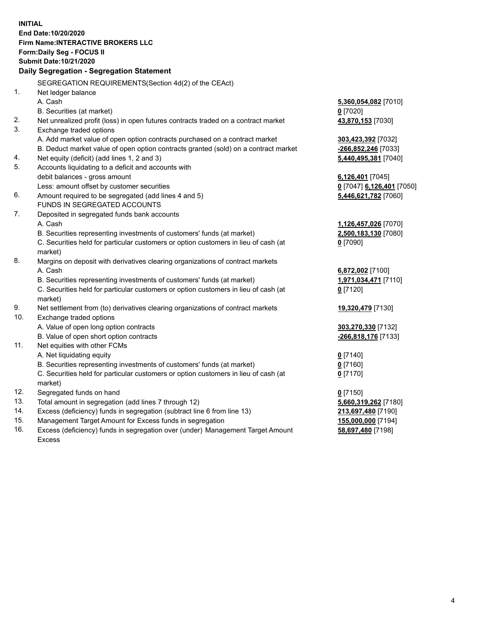**INITIAL End Date:10/20/2020 Firm Name:INTERACTIVE BROKERS LLC Form:Daily Seg - FOCUS II Submit Date:10/21/2020 Daily Segregation - Segregation Statement** SEGREGATION REQUIREMENTS(Section 4d(2) of the CEAct) 1. Net ledger balance A. Cash **5,360,054,082** [7010] B. Securities (at market) **0** [7020] 2. Net unrealized profit (loss) in open futures contracts traded on a contract market **43,870,153** [7030] 3. Exchange traded options A. Add market value of open option contracts purchased on a contract market **303,423,392** [7032] B. Deduct market value of open option contracts granted (sold) on a contract market **-266,852,246** [7033] 4. Net equity (deficit) (add lines 1, 2 and 3) **5,440,495,381** [7040] 5. Accounts liquidating to a deficit and accounts with debit balances - gross amount **6,126,401** [7045] Less: amount offset by customer securities **0** [7047] **6,126,401** [7050] 6. Amount required to be segregated (add lines 4 and 5) **5,446,621,782** [7060] FUNDS IN SEGREGATED ACCOUNTS 7. Deposited in segregated funds bank accounts A. Cash **1,126,457,026** [7070] B. Securities representing investments of customers' funds (at market) **2,500,183,130** [7080] C. Securities held for particular customers or option customers in lieu of cash (at market) **0** [7090] 8. Margins on deposit with derivatives clearing organizations of contract markets A. Cash **6,872,002** [7100] B. Securities representing investments of customers' funds (at market) **1,971,034,471** [7110] C. Securities held for particular customers or option customers in lieu of cash (at market) **0** [7120] 9. Net settlement from (to) derivatives clearing organizations of contract markets **19,320,479** [7130] 10. Exchange traded options A. Value of open long option contracts **303,270,330** [7132] B. Value of open short option contracts **-266,818,176** [7133] 11. Net equities with other FCMs A. Net liquidating equity **0** [7140] B. Securities representing investments of customers' funds (at market) **0** [7160] C. Securities held for particular customers or option customers in lieu of cash (at market) **0** [7170] 12. Segregated funds on hand **0** [7150] 13. Total amount in segregation (add lines 7 through 12) **5,660,319,262** [7180] 14. Excess (deficiency) funds in segregation (subtract line 6 from line 13) **213,697,480** [7190] 15. Management Target Amount for Excess funds in segregation **155,000,000** [7194]

16. Excess (deficiency) funds in segregation over (under) Management Target Amount Excess

**58,697,480** [7198]